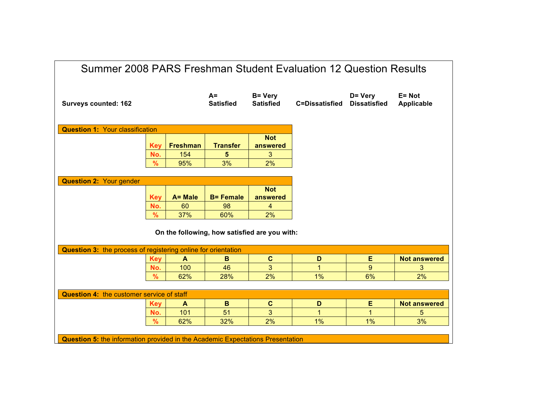| Summer 2008 PARS Freshman Student Evaluation 12 Question Results                      |            |                 |                           |                                    |                       |                                |                             |
|---------------------------------------------------------------------------------------|------------|-----------------|---------------------------|------------------------------------|-----------------------|--------------------------------|-----------------------------|
| <b>Surveys counted: 162</b>                                                           |            |                 | $A =$<br><b>Satisfied</b> | <b>B= Very</b><br><b>Satisfied</b> | <b>C=Dissatisfied</b> | D= Very<br><b>Dissatisfied</b> | E= Not<br><b>Applicable</b> |
| <b>Question 1: Your classification</b>                                                |            |                 |                           |                                    |                       |                                |                             |
|                                                                                       | <b>Key</b> | <b>Freshman</b> | <b>Transfer</b>           | <b>Not</b><br>answered             |                       |                                |                             |
|                                                                                       | No.        | 154             | 5                         | 3                                  |                       |                                |                             |
|                                                                                       | %          | 95%             | 3%                        | 2%                                 |                       |                                |                             |
|                                                                                       |            |                 |                           |                                    |                       |                                |                             |
| <b>Question 2: Your gender</b>                                                        |            |                 |                           |                                    |                       |                                |                             |
|                                                                                       | <b>Key</b> | A= Male         | <b>B= Female</b>          | <b>Not</b><br>answered             |                       |                                |                             |
|                                                                                       | No.        | 60              | 98                        | $\overline{\mathbf{4}}$            |                       |                                |                             |
|                                                                                       | %          | 37%             | 60%                       | 2%                                 |                       |                                |                             |
| On the following, how satisfied are you with:                                         |            |                 |                           |                                    |                       |                                |                             |
| Question 3: the process of registering online for orientation                         |            |                 |                           |                                    |                       |                                |                             |
|                                                                                       | <b>Key</b> | $\mathbf{A}$    | B                         | $\mathbf c$                        | D                     | Е                              | <b>Not answered</b>         |
|                                                                                       | No.        | 100             | 46                        | 3                                  | 1                     | 9                              | 3                           |
|                                                                                       | %          | 62%             | 28%                       | 2%                                 | 1%                    | 6%                             | 2%                          |
| <b>Question 4: the customer service of staff</b>                                      |            |                 |                           |                                    |                       |                                |                             |
|                                                                                       | <b>Key</b> | A               | B                         | $\mathbf c$                        | D                     | Е                              | <b>Not answered</b>         |
|                                                                                       | No.        | 101             | 51                        | 3                                  | 1                     | 1                              | 5                           |
|                                                                                       | %          | 62%             | 32%                       | 2%                                 | 1%                    | 1%                             | 3%                          |
| <b>Question 5:</b> the information provided in the Academic Expectations Presentation |            |                 |                           |                                    |                       |                                |                             |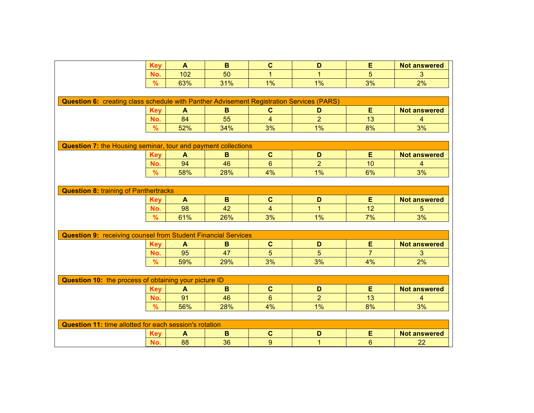|                                                                                                 | <b>Key</b>                                   | A            | B            | $\mathbf C$    | D              | E              | <b>Not answered</b>     |  |
|-------------------------------------------------------------------------------------------------|----------------------------------------------|--------------|--------------|----------------|----------------|----------------|-------------------------|--|
|                                                                                                 | No.                                          | 102          | 50           | $\mathbf{1}$   | $\mathbf 1$    | 5              | 3                       |  |
|                                                                                                 | $\frac{9}{6}$                                | 63%          | 31%          | 1%             | 1%             | 3%             | 2%                      |  |
|                                                                                                 |                                              |              |              |                |                |                |                         |  |
| <b>Question 6:</b> creating class schedule with Panther Advisement Registration Services (PARS) |                                              |              |              |                |                |                |                         |  |
|                                                                                                 | <b>Key</b>                                   | A            | B            | $\mathbf{C}$   | D              | E              | <b>Not answered</b>     |  |
|                                                                                                 | No.                                          | 84           | 55           | $\overline{4}$ | $\overline{2}$ | 13             | 4                       |  |
|                                                                                                 | $\frac{9}{6}$                                | 52%          | 34%          | 3%             | 1%             | 8%             | 3%                      |  |
|                                                                                                 |                                              |              |              |                |                |                |                         |  |
| <b>Question 7: the Housing seminar, tour and payment collections</b>                            |                                              |              |              |                |                |                |                         |  |
|                                                                                                 | <b>Key</b>                                   | $\mathbf{A}$ | B            | $\mathbf c$    | D              | E              | <b>Not answered</b>     |  |
|                                                                                                 | No.                                          | 94           | 46           | $6\phantom{1}$ | $\overline{2}$ | 10             | 4                       |  |
|                                                                                                 | $\frac{9}{6}$                                | 58%          | 28%          | 4%             | 1%             | 6%             | 3%                      |  |
|                                                                                                 |                                              |              |              |                |                |                |                         |  |
|                                                                                                 | <b>Question 8: training of Panthertracks</b> |              |              |                |                |                |                         |  |
|                                                                                                 | <b>Key</b>                                   | $\mathbf{A}$ | $\, {\bf B}$ | $\mathbf{C}$   | D              | E              | <b>Not answered</b>     |  |
|                                                                                                 | No.                                          | 98           | 42           | 4              | $\mathbf{1}$   | 12             | 5                       |  |
|                                                                                                 | $\%$                                         | 61%          | 26%          | 3%             | 1%             | 7%             | 3%                      |  |
|                                                                                                 |                                              |              |              |                |                |                |                         |  |
| <b>Question 9: receiving counsel from Student Financial Services</b>                            |                                              |              |              |                |                |                |                         |  |
|                                                                                                 | <b>Key</b>                                   | A            | B            | $\mathbf{C}$   | D              | E              | <b>Not answered</b>     |  |
|                                                                                                 | No.                                          | 95           | 47           | 5              | 5              | $\overline{7}$ | 3                       |  |
|                                                                                                 | $\frac{9}{6}$                                | 59%          | 29%          | 3%             | 3%             | 4%             | 2%                      |  |
|                                                                                                 |                                              |              |              |                |                |                |                         |  |
| Question 10: the process of obtaining your picture ID                                           |                                              |              |              |                |                |                |                         |  |
|                                                                                                 | <b>Key</b>                                   | $\mathbf{A}$ | B            | $\mathbf{C}$   | D              | E              | <b>Not answered</b>     |  |
|                                                                                                 | No.                                          | 91           | 46           | $6\phantom{1}$ | $\overline{2}$ | 13             | $\overline{\mathbf{4}}$ |  |
|                                                                                                 | %                                            | 56%          | 28%          | 4%             | 1%             | 8%             | 3%                      |  |
|                                                                                                 |                                              |              |              |                |                |                |                         |  |
| <b>Question 11: time allotted for each session's rotation</b>                                   |                                              |              |              |                |                |                |                         |  |
|                                                                                                 | <b>Key</b>                                   | A            | $\mathbf B$  | $\mathbf c$    | D              | Е              | <b>Not answered</b>     |  |
|                                                                                                 | No.                                          | 88           | 36           | 9              | $\mathbf{1}$   | $6\phantom{1}$ | 22                      |  |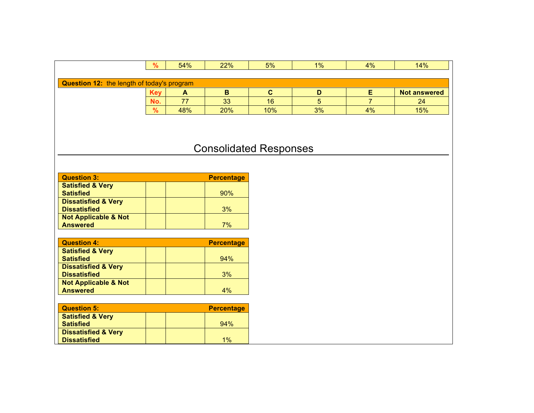|                                            | $\frac{9}{6}$ | 54% | 22% | 5%  | 1% | 4% | 14%                 |
|--------------------------------------------|---------------|-----|-----|-----|----|----|---------------------|
|                                            |               |     |     |     |    |    |                     |
| Question 12: the length of today's program |               |     |     |     |    |    |                     |
|                                            | <b>Key</b>    | Ë   | в   | ີ   |    |    | <b>Not answered</b> |
|                                            | No.           | 77  | 33  | 16  |    |    | 24                  |
|                                            | %             | 48% | 20% | 10% | 3% | 4% | 15%                 |

## Consolidated Responses

| <b>Question 3:</b>              | <b>Percentage</b> |
|---------------------------------|-------------------|
| <b>Satisfied &amp; Very</b>     |                   |
| <b>Satisfied</b>                | 90%               |
| <b>Dissatisfied &amp; Very</b>  |                   |
| <b>Dissatisfied</b>             | 3%                |
| <b>Not Applicable &amp; Not</b> |                   |
| <b>Answered</b>                 | 7%                |

| <b>Question 4:</b>              | <b>Percentage</b> |
|---------------------------------|-------------------|
| <b>Satisfied &amp; Very</b>     |                   |
| <b>Satisfied</b>                | 94%               |
| <b>Dissatisfied &amp; Very</b>  |                   |
| <b>Dissatisfied</b>             | 3%                |
| <b>Not Applicable &amp; Not</b> |                   |
| <b>Answered</b>                 | 4%                |

| <b>Question 5:</b>             | <b>Percentage</b> |
|--------------------------------|-------------------|
| <b>Satisfied &amp; Very</b>    |                   |
| <b>Satisfied</b>               | 94%               |
| <b>Dissatisfied &amp; Very</b> |                   |
| <b>Dissatisfied</b>            | $1\%$             |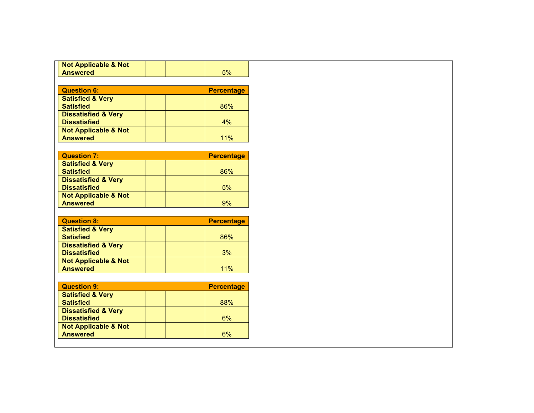| <b>Not Applicable &amp; Not</b>                    |                   |
|----------------------------------------------------|-------------------|
| <b>Answered</b>                                    | 5%                |
|                                                    |                   |
| <b>Question 6:</b>                                 | <b>Percentage</b> |
| <b>Satisfied &amp; Very</b>                        |                   |
| <b>Satisfied</b>                                   | 86%               |
| <b>Dissatisfied &amp; Very</b>                     |                   |
| <b>Dissatisfied</b>                                | 4%                |
| <b>Not Applicable &amp; Not</b>                    |                   |
| <b>Answered</b>                                    | 11%               |
|                                                    |                   |
| <b>Question 7:</b>                                 | <b>Percentage</b> |
| <b>Satisfied &amp; Very</b>                        |                   |
| <b>Satisfied</b>                                   | 86%               |
| <b>Dissatisfied &amp; Very</b>                     |                   |
| <b>Dissatisfied</b>                                | 5%                |
| <b>Not Applicable &amp; Not</b>                    |                   |
| <b>Answered</b>                                    | 9%                |
|                                                    |                   |
| <b>Question 8:</b>                                 | <b>Percentage</b> |
| <b>Satisfied &amp; Very</b>                        |                   |
| <b>Satisfied</b>                                   |                   |
|                                                    | 86%               |
| <b>Dissatisfied &amp; Very</b>                     |                   |
| <b>Dissatisfied</b>                                | 3%                |
| <b>Not Applicable &amp; Not</b>                    |                   |
| <b>Answered</b>                                    | 11%               |
|                                                    |                   |
| <b>Question 9:</b>                                 | <b>Percentage</b> |
| <b>Satisfied &amp; Very</b>                        |                   |
| <b>Satisfied</b>                                   | 88%               |
| <b>Dissatisfied &amp; Very</b>                     |                   |
| <b>Dissatisfied</b>                                | 6%                |
| <b>Not Applicable &amp; Not</b><br><b>Answered</b> | 6%                |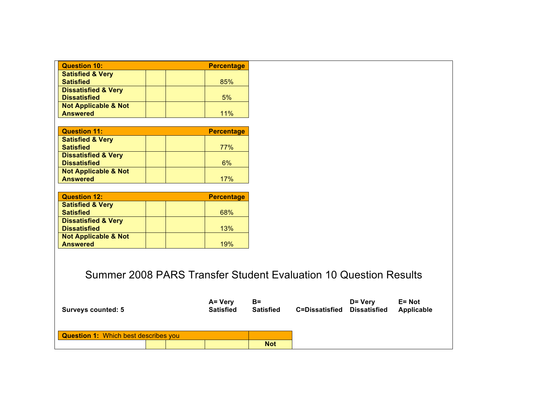| <b>Question 10:</b>                                              |  |  | <b>Percentage</b>           |                           |                       |  |                                |
|------------------------------------------------------------------|--|--|-----------------------------|---------------------------|-----------------------|--|--------------------------------|
| <b>Satisfied &amp; Very</b>                                      |  |  |                             |                           |                       |  |                                |
| <b>Satisfied</b>                                                 |  |  | 85%                         |                           |                       |  |                                |
| <b>Dissatisfied &amp; Very</b><br><b>Dissatisfied</b>            |  |  | 5%                          |                           |                       |  |                                |
| <b>Not Applicable &amp; Not</b>                                  |  |  |                             |                           |                       |  |                                |
| <b>Answered</b>                                                  |  |  | 11%                         |                           |                       |  |                                |
|                                                                  |  |  |                             |                           |                       |  |                                |
| <b>Question 11:</b>                                              |  |  | <b>Percentage</b>           |                           |                       |  |                                |
| <b>Satisfied &amp; Very</b>                                      |  |  |                             |                           |                       |  |                                |
| <b>Satisfied</b>                                                 |  |  | 77%                         |                           |                       |  |                                |
| <b>Dissatisfied &amp; Very</b>                                   |  |  |                             |                           |                       |  |                                |
| <b>Dissatisfied</b>                                              |  |  | 6%                          |                           |                       |  |                                |
| <b>Not Applicable &amp; Not</b>                                  |  |  |                             |                           |                       |  |                                |
| <b>Answered</b>                                                  |  |  | 17%                         |                           |                       |  |                                |
| <b>Question 12:</b>                                              |  |  | <b>Percentage</b>           |                           |                       |  |                                |
| <b>Satisfied &amp; Very</b>                                      |  |  |                             |                           |                       |  |                                |
| <b>Satisfied</b>                                                 |  |  | 68%                         |                           |                       |  |                                |
| <b>Dissatisfied &amp; Very</b>                                   |  |  |                             |                           |                       |  |                                |
| <b>Dissatisfied</b>                                              |  |  | 13%                         |                           |                       |  |                                |
| <b>Not Applicable &amp; Not</b>                                  |  |  |                             |                           |                       |  |                                |
| <b>Answered</b>                                                  |  |  | 19%                         |                           |                       |  |                                |
| Summer 2008 PARS Transfer Student Evaluation 10 Question Results |  |  |                             |                           |                       |  |                                |
| <b>Surveys counted: 5</b>                                        |  |  | A= Very<br><b>Satisfied</b> | $B =$<br><b>Satisfied</b> | <b>C=Dissatisfied</b> |  | D= Very<br><b>Dissatisfied</b> |
| <b>Question 1: Which best describes you</b>                      |  |  |                             | <b>Not</b>                |                       |  |                                |

**answered** 

**Key Freshman Transfer**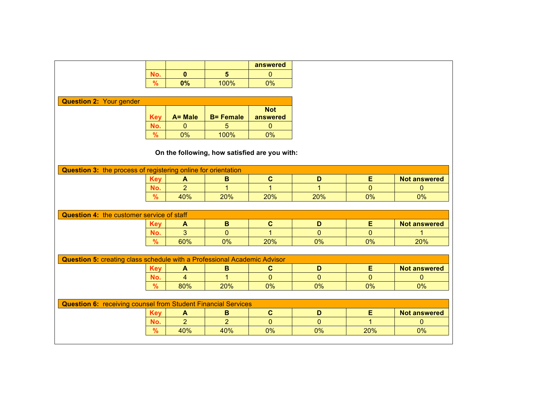|                                                                                 |               |                  |                  | answered       |                |                |                     |
|---------------------------------------------------------------------------------|---------------|------------------|------------------|----------------|----------------|----------------|---------------------|
|                                                                                 | No.           | $\mathbf{0}$     | 5 <sup>5</sup>   | $\mathbf{0}$   |                |                |                     |
|                                                                                 | $\%$          | 0%               | 100%             | 0%             |                |                |                     |
|                                                                                 |               |                  |                  |                |                |                |                     |
| <b>Question 2: Your gender</b>                                                  |               |                  |                  |                |                |                |                     |
|                                                                                 |               |                  |                  | <b>Not</b>     |                |                |                     |
|                                                                                 | <b>Key</b>    | A= Male          | <b>B= Female</b> | answered       |                |                |                     |
|                                                                                 | No.           | $\mathbf{0}$     | 5                | $\mathbf{0}$   |                |                |                     |
|                                                                                 | $\%$          | 0%               | 100%             | 0%             |                |                |                     |
| On the following, how satisfied are you with:                                   |               |                  |                  |                |                |                |                     |
| Question 3: the process of registering online for orientation                   |               |                  |                  |                |                |                |                     |
|                                                                                 | <b>Key</b>    | $\mathbf{A}$     | $\mathbf B$      | $\mathbf{C}$   | $\mathbf D$    | E              | <b>Not answered</b> |
|                                                                                 | No.           | $\overline{2}$   | 1                | 1              | 1              | $\mathbf{0}$   | $\mathbf{0}$        |
|                                                                                 | $\frac{9}{6}$ | 40%              | 20%              | 20%            | 20%            | 0%             | 0%                  |
|                                                                                 |               |                  |                  |                |                |                |                     |
| <b>Question 4: the customer service of staff</b>                                |               |                  |                  |                |                |                |                     |
|                                                                                 | <b>Key</b>    | A                | $\mathbf B$      | $\mathbf{C}$   | D              | E              | <b>Not answered</b> |
|                                                                                 | No.           | $\overline{3}$   | $\overline{0}$   | $\overline{1}$ | $\overline{0}$ | $\overline{0}$ |                     |
|                                                                                 | $\frac{9}{6}$ | 60%              | 0%               | 20%            | 0%             | 0%             | 20%                 |
|                                                                                 |               |                  |                  |                |                |                |                     |
| <b>Question 5: creating class schedule with a Professional Academic Advisor</b> |               |                  |                  |                |                |                |                     |
|                                                                                 | <b>Key</b>    | $\blacktriangle$ | B                | $\mathbf{C}$   | D              | E              | <b>Not answered</b> |
|                                                                                 | No.           | $\overline{4}$   | $\overline{1}$   | $\mathbf{0}$   | $\overline{0}$ | $\mathbf 0$    | $\mathbf 0$         |
|                                                                                 | $\frac{9}{6}$ | 80%              | 20%              | 0%             | 0%             | 0%             | 0%                  |
|                                                                                 |               |                  |                  |                |                |                |                     |
| <b>Question 6: receiving counsel from Student Financial Services</b>            |               |                  |                  |                |                |                |                     |
|                                                                                 | <b>Key</b>    | $\blacktriangle$ | B                | $\mathbf{C}$   | D              | E              | <b>Not answered</b> |
|                                                                                 | No.           | 2 <sup>1</sup>   | $\overline{2}$   | $\mathbf{0}$   | $\Omega$       | $\mathbf{1}$   | $\mathbf{0}$        |
|                                                                                 | $\frac{9}{6}$ | 40%              | 40%              | 0%             | 0%             | 20%            | 0%                  |
|                                                                                 |               |                  |                  |                |                |                |                     |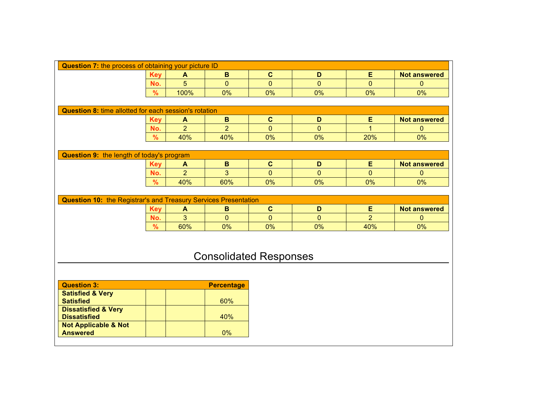| Question 7: the process of obtaining your picture ID                   |            |                  |                   |              |                |                |                     |
|------------------------------------------------------------------------|------------|------------------|-------------------|--------------|----------------|----------------|---------------------|
|                                                                        | <b>Key</b> | $\blacktriangle$ | $\, {\bf B}$      | $\mathbf c$  | D              | E              | <b>Not answered</b> |
|                                                                        | No.        | 5                | $\overline{0}$    | $\mathbf{0}$ | $\mathbf{0}$   | $\mathbf{0}$   | $\Omega$            |
|                                                                        | $\%$       | 100%             | 0%                | 0%           | 0%             | 0%             | 0%                  |
|                                                                        |            |                  |                   |              |                |                |                     |
| <b>Question 8: time allotted for each session's rotation</b>           |            |                  |                   |              |                |                |                     |
|                                                                        | <b>Key</b> | $\blacktriangle$ | $\mathbf B$       | $\mathbf c$  | D              | E              | <b>Not answered</b> |
|                                                                        | No.        | $\overline{2}$   | $\overline{2}$    | $\mathbf{0}$ | $\overline{0}$ | $\overline{1}$ | $\mathbf{0}$        |
|                                                                        | $\%$       | 40%              | 40%               | 0%           | 0%             | 20%            | 0%                  |
|                                                                        |            |                  |                   |              |                |                |                     |
| Question 9: the length of today's program                              |            |                  |                   |              |                |                |                     |
|                                                                        | <b>Key</b> | $\blacktriangle$ | $\, {\bf B}$      | $\mathbf{C}$ | D              | E              | <b>Not answered</b> |
|                                                                        | No.        | $\overline{2}$   | 3                 | $\mathbf{0}$ | $\overline{0}$ | $\mathbf{0}$   | $\mathbf{0}$        |
|                                                                        | $\%$       | 40%              | 60%               | 0%           | 0%             | 0%             | 0%                  |
|                                                                        |            |                  |                   |              |                |                |                     |
| <b>Question 10: the Registrar's and Treasury Services Presentation</b> |            |                  |                   |              |                |                |                     |
|                                                                        | <b>Key</b> | $\blacktriangle$ | B                 | $\mathbf{C}$ | D              | E              | <b>Not answered</b> |
|                                                                        | No.        | $\overline{3}$   | $\Omega$          | $\Omega$     | $\mathbf{0}$   | $\overline{2}$ | $\mathbf{0}$        |
|                                                                        | $\%$       | 60%              | 0%                | 0%           | 0%             | 40%            | 0%                  |
| <b>Consolidated Responses</b>                                          |            |                  |                   |              |                |                |                     |
| <b>Question 3:</b>                                                     |            |                  |                   |              |                |                |                     |
| <b>Satisfied &amp; Very</b>                                            |            |                  | <b>Percentage</b> |              |                |                |                     |
| <b>Satisfied</b>                                                       |            |                  | 60%               |              |                |                |                     |
| <b>Dissatisfied &amp; Very</b><br><b>Dissatisfied</b>                  |            |                  | 40%               |              |                |                |                     |
| <b>Not Applicable &amp; Not</b><br><b>Answered</b>                     |            |                  | 0%                |              |                |                |                     |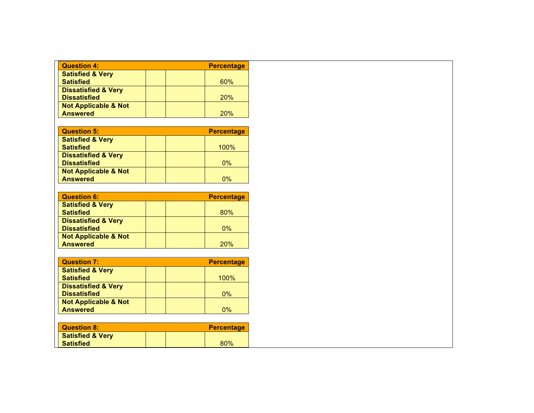| <b>Question 4:</b>              | <b>Percentage</b> |
|---------------------------------|-------------------|
| <b>Satisfied &amp; Very</b>     |                   |
| <b>Satisfied</b>                | 60%               |
| <b>Dissatisfied &amp; Very</b>  |                   |
| <b>Dissatisfied</b>             | <b>20%</b>        |
| <b>Not Applicable &amp; Not</b> |                   |
| <b>Answered</b>                 | 20%               |

| <b>Question 5:</b>              | <b>Percentage</b> |
|---------------------------------|-------------------|
| <b>Satisfied &amp; Very</b>     |                   |
| <b>Satisfied</b>                | 100%              |
| <b>Dissatisfied &amp; Very</b>  |                   |
| <b>Dissatisfied</b>             | $0\%$             |
| <b>Not Applicable &amp; Not</b> |                   |
| <b>Answered</b>                 | 0%                |

| <b>Question 6:</b>              | <b>Percentage</b> |
|---------------------------------|-------------------|
| <b>Satisfied &amp; Very</b>     |                   |
| <b>Satisfied</b>                | 80%               |
| <b>Dissatisfied &amp; Very</b>  |                   |
| <b>Dissatisfied</b>             | $0\%$             |
| <b>Not Applicable &amp; Not</b> |                   |
| <b>Answered</b>                 | 20%               |

| <b>Question 7:</b>              |  | <b>Percentage</b> |
|---------------------------------|--|-------------------|
| <b>Satisfied &amp; Very</b>     |  |                   |
| <b>Satisfied</b>                |  | 100%              |
| <b>Dissatisfied &amp; Very</b>  |  |                   |
| <b>Dissatisfied</b>             |  | $0\%$             |
| <b>Not Applicable &amp; Not</b> |  |                   |
| <b>Answered</b>                 |  | 0%                |

| <b>Question 8:</b>          |  | <b>Percentage</b> |
|-----------------------------|--|-------------------|
| <b>Satisfied &amp; Very</b> |  |                   |
| <b>Satisfied</b>            |  | 80%               |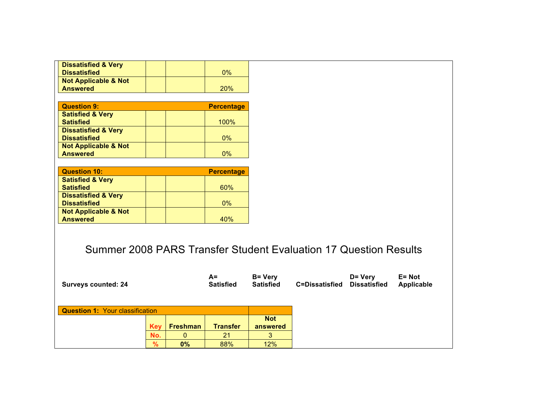| <b>Dissatisfied &amp; Very</b> |  |     |
|--------------------------------|--|-----|
| <b>Dissatisfied</b>            |  | 0%  |
| Not Applicable & Not           |  |     |
| <b>Answered</b>                |  | 20% |

| <b>Question 9:</b>              | <b>Percentage</b> |
|---------------------------------|-------------------|
| <b>Satisfied &amp; Very</b>     |                   |
| <b>Satisfied</b>                | 100%              |
| <b>Dissatisfied &amp; Very</b>  |                   |
| <b>Dissatisfied</b>             | $0\%$             |
| <b>Not Applicable &amp; Not</b> |                   |
| <b>Answered</b>                 | ሰ%                |

| <b>Question 10:</b>             | <b>Percentage</b> |
|---------------------------------|-------------------|
| <b>Satisfied &amp; Very</b>     |                   |
| <b>Satisfied</b>                | 60%               |
| <b>Dissatisfied &amp; Very</b>  |                   |
| <b>Dissatisfied</b>             | $0\%$             |
| <b>Not Applicable &amp; Not</b> |                   |
| <b>Answered</b>                 | 40%               |

## Summer 2008 PARS Transfer Student Evaluation 17 Question Results

| <b>Surveys counted: 24</b>             |               |                 | $A=$<br><b>Satisfied</b> | <b>B</b> = Very<br><b>Satisfied</b> | <b>C=Dissatisfied</b> | D= Very<br><b>Dissatisfied</b> | $E = Not$<br>Applicable |
|----------------------------------------|---------------|-----------------|--------------------------|-------------------------------------|-----------------------|--------------------------------|-------------------------|
| <b>Question 1: Your classification</b> |               |                 |                          |                                     |                       |                                |                         |
|                                        |               |                 |                          | <b>Not</b>                          |                       |                                |                         |
|                                        | Key           | <b>Freshman</b> | <b>Transfer</b>          | answered                            |                       |                                |                         |
|                                        | No.           | 0               | 21                       | 3                                   |                       |                                |                         |
|                                        | $\frac{9}{6}$ | 0%              | 88%                      | 12%                                 |                       |                                |                         |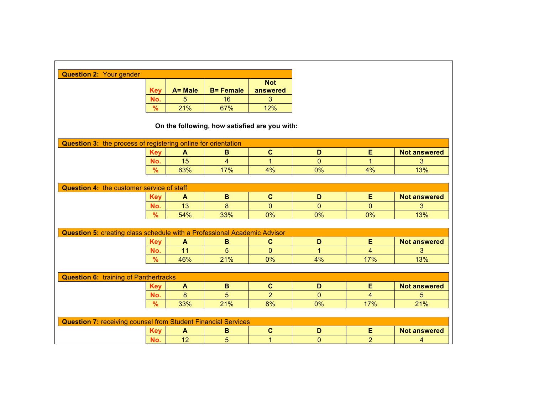| <b>Question 2: Your gender</b>                                                  |               |              |                  |                                               |                |                |                     |
|---------------------------------------------------------------------------------|---------------|--------------|------------------|-----------------------------------------------|----------------|----------------|---------------------|
|                                                                                 |               |              |                  | <b>Not</b>                                    |                |                |                     |
|                                                                                 | <b>Key</b>    | A= Male      | <b>B= Female</b> | answered                                      |                |                |                     |
|                                                                                 | No.           | 5            | 16               | 3                                             |                |                |                     |
|                                                                                 | %             | 21%          | 67%              | 12%                                           |                |                |                     |
|                                                                                 |               |              |                  |                                               |                |                |                     |
|                                                                                 |               |              |                  | On the following, how satisfied are you with: |                |                |                     |
| Question 3: the process of registering online for orientation                   |               |              |                  |                                               |                |                |                     |
|                                                                                 | <b>Key</b>    | $\mathbf{A}$ | B                | $\mathbf{C}$                                  | D              | E              | <b>Not answered</b> |
|                                                                                 | No.           | 15           | $\overline{4}$   | $\overline{1}$                                | $\overline{0}$ | $\overline{1}$ | 3                   |
|                                                                                 | $\%$          | 63%          | 17%              | 4%                                            | 0%             | 4%             | 13%                 |
|                                                                                 |               |              |                  |                                               |                |                |                     |
| <b>Question 4: the customer service of staff</b>                                |               |              |                  |                                               |                |                |                     |
|                                                                                 | <b>Key</b>    | A            | B                | $\mathbf{C}$                                  | D              | Е              | <b>Not answered</b> |
|                                                                                 | No.           | 13           | 8                | $\mathbf{0}$                                  | $\Omega$       | $\mathbf{0}$   | $\overline{3}$      |
|                                                                                 | $\frac{9}{6}$ | 54%          | 33%              | 0%                                            | 0%             | 0%             | 13%                 |
|                                                                                 |               |              |                  |                                               |                |                |                     |
| <b>Question 5: creating class schedule with a Professional Academic Advisor</b> |               |              |                  |                                               |                |                |                     |
|                                                                                 | <b>Key</b>    | A            | B                | $\mathbf{C}$                                  | D              | E              | <b>Not answered</b> |
|                                                                                 | No.           | 11           | 5                | $\mathbf{0}$                                  | $\mathbf{1}$   | $\overline{4}$ | 3                   |
|                                                                                 | $\frac{9}{6}$ | 46%          | 21%              | 0%                                            | 4%             | 17%            | 13%                 |
|                                                                                 |               |              |                  |                                               |                |                |                     |
| <b>Question 6: training of Panthertracks</b>                                    |               |              |                  |                                               |                |                |                     |
|                                                                                 | <b>Key</b>    | A            | $\, {\bf B}$     | $\mathbf{C}$                                  | D              | E              | <b>Not answered</b> |
|                                                                                 | No.           | 8            | 5                | $\overline{2}$                                | $\Omega$       | $\overline{4}$ | 5                   |
|                                                                                 | $\%$          | 33%          | 21%              | 8%                                            | 0%             | 17%            | 21%                 |
|                                                                                 |               |              |                  |                                               |                |                |                     |
| <b>Question 7: receiving counsel from Student Financial Services</b>            |               |              |                  |                                               |                |                |                     |
|                                                                                 | <b>Key</b>    | A            | $\mathbf B$      | $\mathbf C$                                   | D              | Ε              | <b>Not answered</b> |
|                                                                                 | No.           | 12           | 5                | 1                                             | $\mathbf{0}$   | $\overline{2}$ | $\overline{4}$      |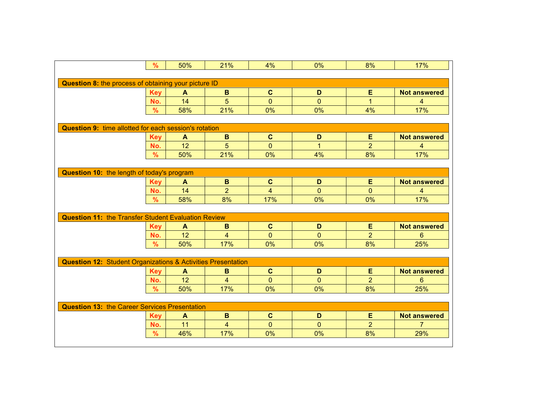|                                                                         | $\%$          | 50%              | 21%            | 4%             | 0%             | 8%             | 17%                 |
|-------------------------------------------------------------------------|---------------|------------------|----------------|----------------|----------------|----------------|---------------------|
|                                                                         |               |                  |                |                |                |                |                     |
| Question 8: the process of obtaining your picture ID                    |               |                  |                |                |                |                |                     |
|                                                                         | <b>Key</b>    | $\mathbf{A}$     | $\, {\bf B}$   | $\mathbf{C}$   | D              | E              | <b>Not answered</b> |
|                                                                         | No.           | 14               | 5              | $\overline{0}$ | $\Omega$       | 1              | 4                   |
|                                                                         | $\frac{9}{6}$ | 58%              | 21%            | 0%             | 0%             | 4%             | 17%                 |
|                                                                         |               |                  |                |                |                |                |                     |
| <b>Question 9: time allotted for each session's rotation</b>            |               |                  |                |                |                |                |                     |
|                                                                         | <b>Key</b>    | A                | $\mathbf B$    | $\mathbf{C}$   | D              | E              | <b>Not answered</b> |
|                                                                         | No.           | 12               | 5              | $\mathbf{0}$   | $\mathbf 1$    | $\overline{2}$ | 4                   |
|                                                                         | $\frac{9}{6}$ | 50%              | 21%            | 0%             | 4%             | 8%             | 17%                 |
|                                                                         |               |                  |                |                |                |                |                     |
| Question 10: the length of today's program                              |               |                  |                |                |                |                |                     |
|                                                                         | <b>Key</b>    | A                | $\mathbf B$    | $\mathbf{C}$   | D              | E              | <b>Not answered</b> |
|                                                                         | No.           | 14               | $\overline{2}$ | $\overline{4}$ | $\Omega$       | $\overline{0}$ | $\overline{4}$      |
|                                                                         | $\frac{9}{6}$ | 58%              | 8%             | 17%            | 0%             | 0%             | 17%                 |
|                                                                         |               |                  |                |                |                |                |                     |
| <b>Question 11: the Transfer Student Evaluation Review</b>              |               |                  |                |                |                |                |                     |
|                                                                         | <b>Key</b>    | A                | B              | $\mathbf{C}$   | D              | E              | <b>Not answered</b> |
|                                                                         | No.           | 12               | $\overline{4}$ | $\mathbf{0}$   | $\mathbf{0}$   | $\overline{2}$ | 6                   |
|                                                                         | $\frac{9}{6}$ | 50%              | 17%            | 0%             | 0%             | 8%             | 25%                 |
|                                                                         |               |                  |                |                |                |                |                     |
| <b>Question 12: Student Organizations &amp; Activities Presentation</b> |               |                  |                |                |                |                |                     |
|                                                                         | <b>Key</b>    | $\blacktriangle$ | $\mathbf B$    | $\mathbf{C}$   | D              | Е              | <b>Not answered</b> |
|                                                                         | No.           | 12               | $\overline{4}$ | $\mathbf{0}$   | $\overline{0}$ | $\overline{2}$ | 6                   |
|                                                                         | $\frac{9}{6}$ | 50%              | 17%            | 0%             | 0%             | 8%             | 25%                 |
|                                                                         |               |                  |                |                |                |                |                     |
| <b>Question 13: the Career Services Presentation</b>                    |               |                  |                |                |                |                |                     |
|                                                                         | <b>Key</b>    | A                | $\mathbf B$    | $\mathbf{C}$   | D              | E              | <b>Not answered</b> |
|                                                                         | No.           | 11               | $\overline{4}$ | $\mathbf{0}$   | $\overline{0}$ | $\overline{2}$ | $\overline{7}$      |
|                                                                         | $\%$          | 46%              | 17%            | 0%             | 0%             | 8%             | 29%                 |
|                                                                         |               |                  |                |                |                |                |                     |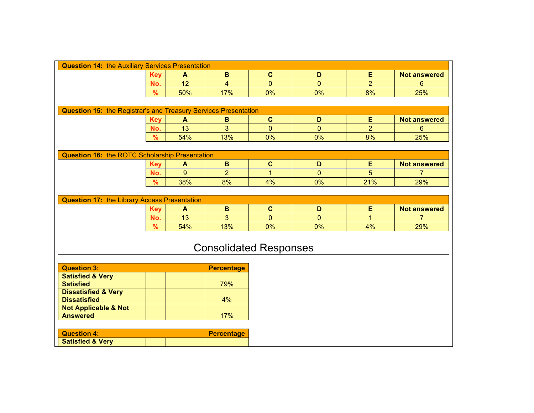| <b>Question 14: the Auxiliary Services Presentation</b>                |               |                  |                               |                |                |                |                     |  |
|------------------------------------------------------------------------|---------------|------------------|-------------------------------|----------------|----------------|----------------|---------------------|--|
|                                                                        | <b>Key</b>    | $\mathbf{A}$     | B                             | $\mathbf{C}$   | D              | E              | <b>Not answered</b> |  |
|                                                                        | No.           | 12               | $\overline{4}$                | $\overline{0}$ | $\overline{0}$ | $\overline{2}$ | 6                   |  |
|                                                                        | %             | 50%              | 17%                           | 0%             | 0%             | 8%             | 25%                 |  |
|                                                                        |               |                  |                               |                |                |                |                     |  |
| <b>Question 15: the Registrar's and Treasury Services Presentation</b> |               |                  |                               |                |                |                |                     |  |
|                                                                        | <b>Key</b>    | $\blacktriangle$ | $\, {\bf B}$                  | $\mathbf c$    | D              | E              | <b>Not answered</b> |  |
|                                                                        | No.           | 13               | 3                             | $\mathbf{0}$   | $\Omega$       | $\overline{2}$ | 6                   |  |
|                                                                        | $\%$          | 54%              | 13%                           | 0%             | $0\%$          | 8%             | 25%                 |  |
|                                                                        |               |                  |                               |                |                |                |                     |  |
| <b>Question 16: the ROTC Scholarship Presentation</b>                  |               |                  |                               |                |                |                |                     |  |
|                                                                        | <b>Key</b>    | $\mathbf{A}$     | $\mathbf B$                   | $\mathbf{C}$   | D              | E              | <b>Not answered</b> |  |
|                                                                        | No.           | 9                | $\overline{2}$                | $\mathbf{1}$   | $\overline{0}$ | 5              | $\overline{7}$      |  |
|                                                                        | $\%$          | 38%              | 8%                            | 4%             | 0%             | 21%            | 29%                 |  |
|                                                                        |               |                  |                               |                |                |                |                     |  |
| <b>Question 17: the Library Access Presentation</b>                    |               |                  |                               |                |                |                |                     |  |
|                                                                        | <b>Key</b>    | $\mathbf{A}$     | $\mathbf B$                   | $\mathbf{C}$   | D              | E              | <b>Not answered</b> |  |
|                                                                        | No.           | 13               | 3                             | $\Omega$       | $\Omega$       | 1              | 7                   |  |
|                                                                        | $\frac{9}{6}$ | 54%              | 13%                           | 0%             | $0\%$          | 4%             | 29%                 |  |
|                                                                        |               |                  |                               |                |                |                |                     |  |
|                                                                        |               |                  | <b>Consolidated Responses</b> |                |                |                |                     |  |
|                                                                        |               |                  |                               |                |                |                |                     |  |
|                                                                        |               |                  |                               |                |                |                |                     |  |
| <b>Question 3:</b>                                                     |               |                  | <b>Percentage</b>             |                |                |                |                     |  |
| <b>Satisfied &amp; Very</b><br><b>Satisfied</b>                        |               |                  | 79%                           |                |                |                |                     |  |
| <b>Dissatisfied &amp; Very</b>                                         |               |                  |                               |                |                |                |                     |  |
| <b>Dissatisfied</b>                                                    |               |                  | 4%                            |                |                |                |                     |  |
| <b>Not Applicable &amp; Not</b>                                        |               |                  |                               |                |                |                |                     |  |
| <b>Answered</b>                                                        |               |                  | 17%                           |                |                |                |                     |  |
|                                                                        |               |                  |                               |                |                |                |                     |  |
| <b>Question 4:</b>                                                     |               |                  | <b>Percentage</b>             |                |                |                |                     |  |
| <b>Satisfied &amp; Very</b>                                            |               |                  |                               |                |                |                |                     |  |

**Satisfied** 88%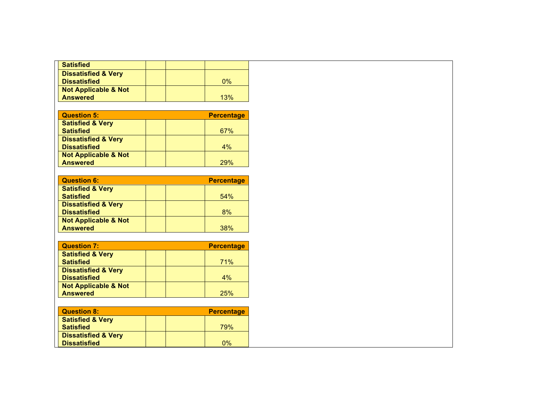| <b>Satisfied</b>                |  |       |
|---------------------------------|--|-------|
| <b>Dissatisfied &amp; Very</b>  |  |       |
| <b>Dissatisfied</b>             |  | $0\%$ |
| <b>Not Applicable &amp; Not</b> |  |       |
| <b>Answered</b>                 |  | 13%   |

| <b>Question 5:</b>              | <b>Percentage</b> |
|---------------------------------|-------------------|
| <b>Satisfied &amp; Very</b>     |                   |
| <b>Satisfied</b>                | 67%               |
| <b>Dissatisfied &amp; Very</b>  |                   |
| <b>Dissatisfied</b>             | 4%                |
| <b>Not Applicable &amp; Not</b> |                   |
| <b>Answered</b>                 | 29%               |

| <b>Question 6:</b>              | <b>Percentage</b> |
|---------------------------------|-------------------|
| <b>Satisfied &amp; Very</b>     |                   |
| <b>Satisfied</b>                | 54%               |
| <b>Dissatisfied &amp; Very</b>  |                   |
| <b>Dissatisfied</b>             | 8%                |
| <b>Not Applicable &amp; Not</b> |                   |
| <b>Answered</b>                 | 38%               |

| <b>Question 7:</b>              | <b>Percentage</b> |
|---------------------------------|-------------------|
| <b>Satisfied &amp; Very</b>     |                   |
| <b>Satisfied</b>                | 71%               |
| <b>Dissatisfied &amp; Very</b>  |                   |
| <b>Dissatisfied</b>             | $4\%$             |
| <b>Not Applicable &amp; Not</b> |                   |
| <b>Answered</b>                 | 25%               |

| <b>Question 8:</b>             | <b>Percentage</b> |
|--------------------------------|-------------------|
| <b>Satisfied &amp; Very</b>    |                   |
| <b>Satisfied</b>               | 79%               |
| <b>Dissatisfied &amp; Very</b> |                   |
| <b>Dissatisfied</b>            | 0%                |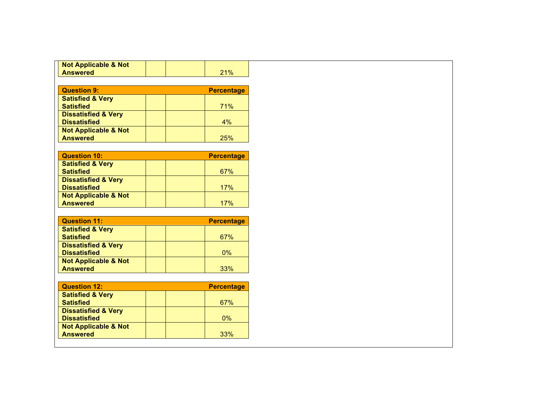| <b>Not Applicable &amp; Not</b>                    |  |                   |
|----------------------------------------------------|--|-------------------|
| <b>Answered</b>                                    |  | 21%               |
|                                                    |  |                   |
| <b>Question 9:</b>                                 |  | <b>Percentage</b> |
| <b>Satisfied &amp; Very</b>                        |  |                   |
| <b>Satisfied</b>                                   |  | 71%               |
| <b>Dissatisfied &amp; Very</b>                     |  |                   |
| <b>Dissatisfied</b>                                |  | 4%                |
| <b>Not Applicable &amp; Not</b>                    |  |                   |
| <b>Answered</b>                                    |  | 25%               |
|                                                    |  |                   |
| <b>Question 10:</b>                                |  | <b>Percentage</b> |
| <b>Satisfied &amp; Very</b>                        |  |                   |
| <b>Satisfied</b>                                   |  | 67%               |
| <b>Dissatisfied &amp; Very</b>                     |  |                   |
| <b>Dissatisfied</b>                                |  | 17%               |
| <b>Not Applicable &amp; Not</b>                    |  |                   |
| <b>Answered</b>                                    |  | 17%               |
|                                                    |  |                   |
| <b>Question 11:</b>                                |  | <b>Percentage</b> |
|                                                    |  |                   |
| <b>Satisfied &amp; Very</b>                        |  |                   |
| <b>Satisfied</b>                                   |  | 67%               |
| <b>Dissatisfied &amp; Very</b>                     |  |                   |
| <b>Dissatisfied</b>                                |  | $0\%$             |
| <b>Not Applicable &amp; Not</b>                    |  |                   |
| <b>Answered</b>                                    |  | 33%               |
|                                                    |  |                   |
| <b>Question 12:</b>                                |  | <b>Percentage</b> |
| <b>Satisfied &amp; Very</b>                        |  |                   |
| <b>Satisfied</b>                                   |  | 67%               |
| <b>Dissatisfied &amp; Very</b>                     |  |                   |
| <b>Dissatisfied</b>                                |  | $0\%$             |
| <b>Not Applicable &amp; Not</b><br><b>Answered</b> |  | 33%               |